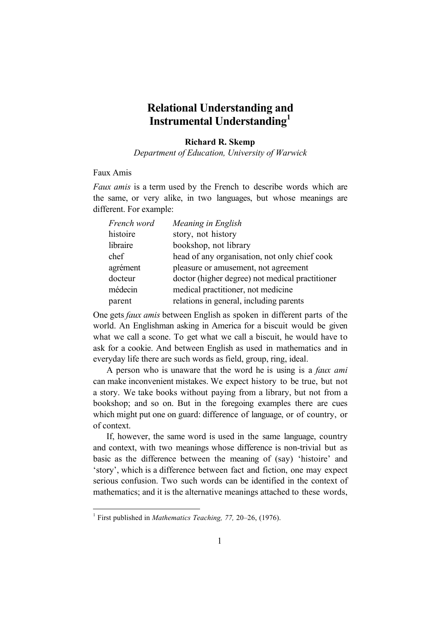# **Relational Understanding and Instrumental Understanding<sup>1</sup>**

#### **Richard R. Skemp**

*Department of Education, University of Warwick*

#### Faux Amis

 $\overline{a}$ 

*Faux amis* is a term used by the French to describe words which are the same, or very alike, in two languages, but whose meanings are different. For example:

| French word | Meaning in English                              |
|-------------|-------------------------------------------------|
| histoire    | story, not history                              |
| libraire    | bookshop, not library                           |
| chef        | head of any organisation, not only chief cook   |
| agrément    | pleasure or amusement, not agreement            |
| docteur     | doctor (higher degree) not medical practitioner |
| médecin     | medical practitioner, not medicine              |
| parent      | relations in general, including parents         |

One gets *faux amis* between English as spoken in different parts of the world. An Englishman asking in America for a biscuit would be given what we call a scone. To get what we call a biscuit, he would have to ask for a cookie. And between English as used in mathematics and in everyday life there are such words as field, group, ring, ideal.

A person who is unaware that the word he is using is a *faux ami* can make inconvenient mistakes. We expect history to be true, but not a story. We take books without paying from a library, but not from a bookshop; and so on. But in the foregoing examples there are cues which might put one on guard: difference of language, or of country, or of context.

If, however, the same word is used in the same language, country and context, with two meanings whose difference is non-trivial but as basic as the difference between the meaning of (say) 'histoire' and 'story', which is a difference between fact and fiction, one may expect serious confusion. Two such words can be identified in the context of mathematics; and it is the alternative meanings attached to these words,

<sup>1</sup> First published in *Mathematics Teaching, 77,* 20–26, (1976).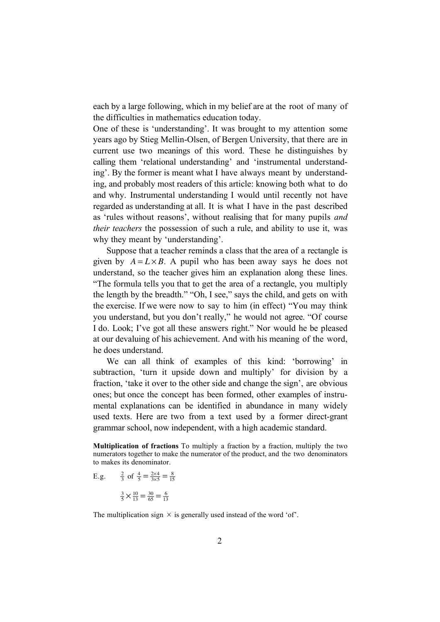each by a large following, which in my belief are at the root of many of the difficulties in mathematics education today.

One of these is 'understanding'. It was brought to my attention some years ago by Stieg Mellin-Olsen, of Bergen University, that there are in current use two meanings of this word. These he distinguishes by calling them 'relational understanding' and 'instrumental understanding'. By the former is meant what I have always meant by understanding, and probably most readers of this article: knowing both what to do and why. Instrumental understanding I would until recently not have regarded as understanding at all. It is what I have in the past described as 'rules without reasons', without realising that for many pupils *and their teachers* the possession of such a rule, and ability to use it, was why they meant by 'understanding'.

Suppose that a teacher reminds a class that the area of a rectangle is given by  $A = L \times B$ . A pupil who has been away says he does not understand, so the teacher gives him an explanation along these lines. "The formula tells you that to get the area of a rectangle, you multiply the length by the breadth." "Oh, I see," says the child, and gets on with the exercise. If we were now to say to him (in effect) "You may think you understand, but you don't really," he would not agree. "Of course I do. Look; I've got all these answers right." Nor would he be pleased at our devaluing of his achievement. And with his meaning of the word, he does understand.

We can all think of examples of this kind: 'borrowing' in subtraction, 'turn it upside down and multiply' for division by a fraction, 'take it over to the other side and change the sign', are obvious ones; but once the concept has been formed, other examples of instrumental explanations can be identified in abundance in many widely used texts. Here are two from a text used by a former direct-grant grammar school, now independent, with a high academic standard.

**Multiplication of fractions** To multiply a fraction by a fraction, multiply the two numerators together to make the numerator of the product, and the two denominators to makes its denominator.

 $E.g.$  $\frac{2}{3}$  of  $\frac{4}{5} = \frac{2 \times 4}{3 \times 5} = \frac{8}{15}$  $\frac{3}{5} \times \frac{10}{13} = \frac{30}{65} = \frac{6}{13}$ 

The multiplication sign  $\times$  is generally used instead of the word 'of'.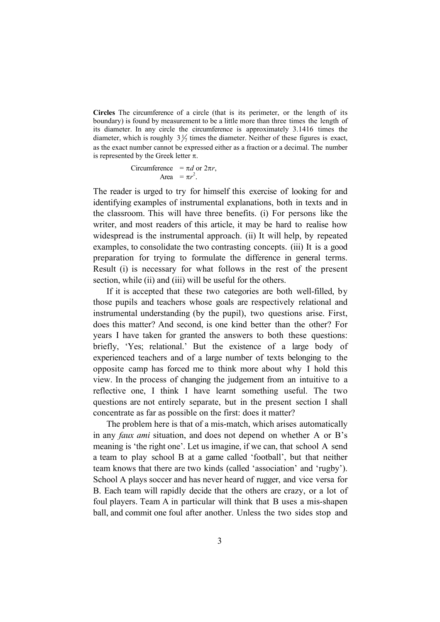**Circles** The circumference of a circle (that is its perimeter, or the length of its boundary) is found by measurement to be a little more than three times the length of its diameter. In any circle the circumference is approximately 3.1416 times the diameter, which is roughly  $3\frac{1}{7}$  times the diameter. Neither of these figures is exact, as the exact number cannot be expressed either as a fraction or a decimal. The number is represented by the Greek letter  $\pi$ .

Circumference = 
$$
\pi d
$$
 or  $2\pi r$ ,  
Area =  $\pi r^2$ .

The reader is urged to try for himself this exercise of looking for and identifying examples of instrumental explanations, both in texts and in the classroom. This will have three benefits. (i) For persons like the writer, and most readers of this article, it may be hard to realise how widespread is the instrumental approach. (ii) It will help, by repeated examples, to consolidate the two contrasting concepts. (iii) It is a good preparation for trying to formulate the difference in general terms. Result (i) is necessary for what follows in the rest of the present section, while (ii) and (iii) will be useful for the others.

If it is accepted that these two categories are both well-filled, by those pupils and teachers whose goals are respectively relational and instrumental understanding (by the pupil), two questions arise. First, does this matter? And second, is one kind better than the other? For years I have taken for granted the answers to both these questions: briefly, 'Yes; relational.' But the existence of a large body of experienced teachers and of a large number of texts belonging to the opposite camp has forced me to think more about why I hold this view. In the process of changing the judgement from an intuitive to a reflective one, I think I have learnt something useful. The two questions are not entirely separate, but in the present section I shall concentrate as far as possible on the first: does it matter?

The problem here is that of a mis-match, which arises automatically in any *faux ami* situation, and does not depend on whether A or B's meaning is 'the right one'. Let us imagine, if we can, that school A send a team to play school B at a game called 'football', but that neither team knows that there are two kinds (called 'association' and 'rugby'). School A plays soccer and has never heard of rugger, and vice versa for B. Each team will rapidly decide that the others are crazy, or a lot of foul players. Team A in particular will think that B uses a mis-shapen ball, and commit one foul after another. Unless the two sides stop and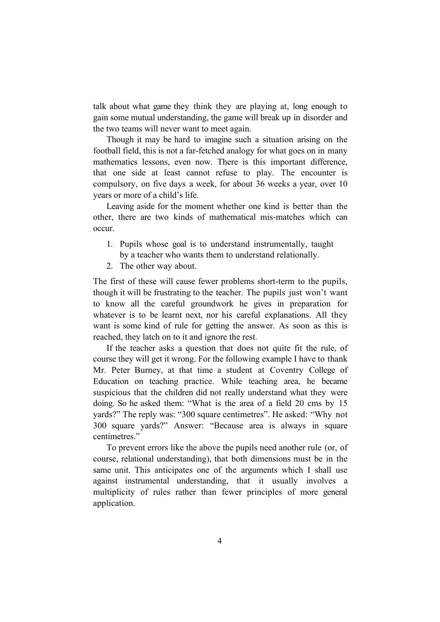talk about what game they think they are playing at, long enough to gain some mutual understanding, the game will break up in disorder and the two teams will never want to meet again.

Though it may be hard to imagine such a situation arising on the football field, this is not a far-fetched analogy for what goes on in many mathematics lessons, even now. There is this important difference, that one side at least cannot refuse to play. The encounter is compulsory, on five days a week, for about 36 weeks a year, over 10 years or more of a child's life.

Leaving aside for the moment whether one kind is better than the other, there are two kinds of mathematical mis-matches which can occur.

- 1. Pupils whose goal is to understand instrumentally, taught by a teacher who wants them to understand relationally.
- 2. The other way about.

The first of these will cause fewer problems short-term to the pupils, though it will be frustrating to the teacher. The pupils just won't want to know all the careful groundwork he gives in preparation for whatever is to be learnt next, nor his careful explanations. All they want is some kind of rule for getting the answer. As soon as this is reached, they latch on to it and ignore the rest.

If the teacher asks a question that does not quite fit the rule, of course they will get it wrong. For the following example I have to thank Mr. Peter Burney, at that time a student at Coventry College of Education on teaching practice. While teaching area, he became suspicious that the children did not really understand what they were doing. So he asked them: "What is the area of a field 20 cms by 15 yards?" The reply was: "300 square centimetres". He asked: "Why not 300 square yards?" Answer: "Because area is always in square centimetres."

To prevent errors like the above the pupils need another rule (or, of course, relational understanding), that both dimensions must be in the same unit. This anticipates one of the arguments which I shall use against instrumental understanding, that it usually involves a multiplicity of rules rather than fewer principles of more general application.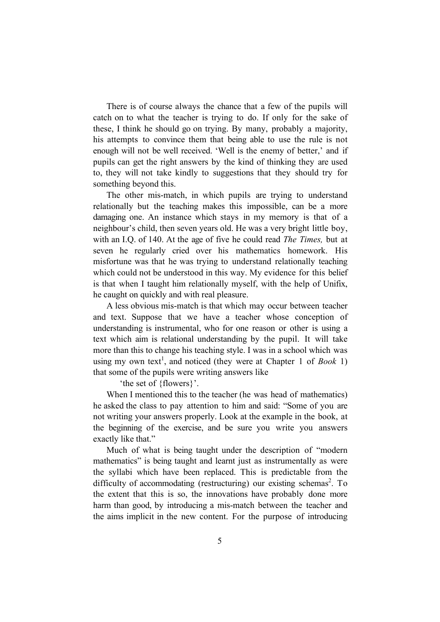There is of course always the chance that a few of the pupils will catch on to what the teacher is trying to do. If only for the sake of these, I think he should go on trying. By many, probably a majority, his attempts to convince them that being able to use the rule is not enough will not be well received. 'Well is the enemy of better,' and if pupils can get the right answers by the kind of thinking they are used to, they will not take kindly to suggestions that they should try for something beyond this.

The other mis-match, in which pupils are trying to understand relationally but the teaching makes this impossible, can be a more damaging one. An instance which stays in my memory is that of a neighbour's child, then seven years old. He was a very bright little boy, with an I.Q. of 140. At the age of five he could read *The Times,* but at seven he regularly cried over his mathematics homework. His misfortune was that he was trying to understand relationally teaching which could not be understood in this way. My evidence for this belief is that when I taught him relationally myself, with the help of Unifix, he caught on quickly and with real pleasure.

A less obvious mis-match is that which may occur between teacher and text. Suppose that we have a teacher whose conception of understanding is instrumental, who for one reason or other is using a text which aim is relational understanding by the pupil. It will take more than this to change his teaching style. I was in a school which was using my own text<sup>1</sup>, and noticed (they were at Chapter 1 of *Book* 1) that some of the pupils were writing answers like

'the set of {flowers}'.

When I mentioned this to the teacher (he was head of mathematics) he asked the class to pay attention to him and said: "Some of you are not writing your answers properly. Look at the example in the book, at the beginning of the exercise, and be sure you write you answers exactly like that."

Much of what is being taught under the description of "modern mathematics" is being taught and learnt just as instrumentally as were the syllabi which have been replaced. This is predictable from the difficulty of accommodating (restructuring) our existing schemas<sup>2</sup>. To the extent that this is so, the innovations have probably done more harm than good, by introducing a mis-match between the teacher and the aims implicit in the new content. For the purpose of introducing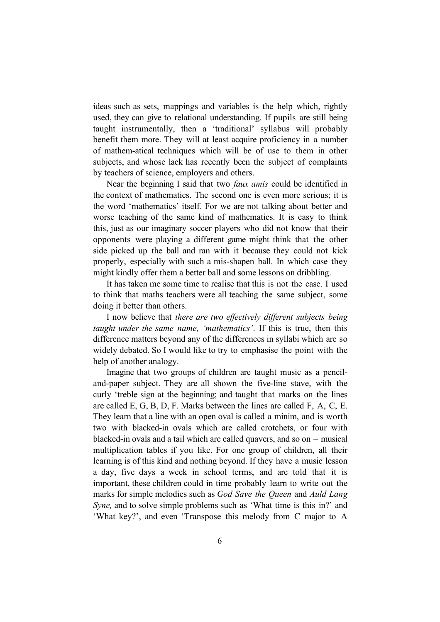ideas such as sets, mappings and variables is the help which, rightly used, they can give to relational understanding. If pupils are still being taught instrumentally, then a 'traditional' syllabus will probably benefit them more. They will at least acquire proficiency in a number of mathem-atical techniques which will be of use to them in other subjects, and whose lack has recently been the subject of complaints by teachers of science, employers and others.

Near the beginning I said that two *faux amis* could be identified in the context of mathematics. The second one is even more serious; it is the word 'mathematics' itself. For we are not talking about better and worse teaching of the same kind of mathematics. It is easy to think this, just as our imaginary soccer players who did not know that their opponents were playing a different game might think that the other side picked up the ball and ran with it because they could not kick properly, especially with such a mis-shapen ball. In which case they might kindly offer them a better ball and some lessons on dribbling.

It has taken me some time to realise that this is not the case. I used to think that maths teachers were all teaching the same subject, some doing it better than others.

I now believe that *there are two effectively different subjects being taught under the same name, 'mathematics'*. If this is true, then this difference matters beyond any of the differences in syllabi which are so widely debated. So I would like to try to emphasise the point with the help of another analogy.

Imagine that two groups of children are taught music as a penciland-paper subject. They are all shown the five-line stave, with the curly 'treble sign at the beginning; and taught that marks on the lines are called E, G, B, D, F. Marks between the lines are called F, A, C, E. They learn that a line with an open oval is called a minim, and is worth two with blacked-in ovals which are called crotchets, or four with blacked-in ovals and a tail which are called quavers, and so on – musical multiplication tables if you like. For one group of children, all their learning is of this kind and nothing beyond. If they have a music lesson a day, five days a week in school terms, and are told that it is important, these children could in time probably learn to write out the marks for simple melodies such as *God Save the Queen* and *Auld Lang Syne*, and to solve simple problems such as 'What time is this in?' and 'What key?', and even 'Transpose this melody from C major to A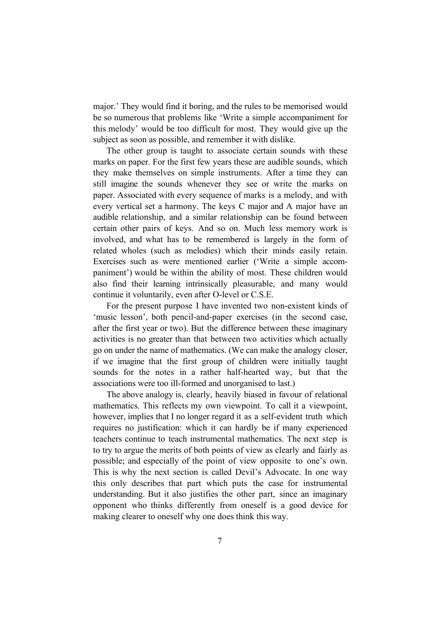major.' They would find it boring, and the rules to be memorised would be so numerous that problems like 'Write a simple accompaniment for this melody' would be too difficult for most. They would give up the subject as soon as possible, and remember it with dislike.

The other group is taught to associate certain sounds with these marks on paper. For the first few years these are audible sounds, which they make themselves on simple instruments. After a time they can still imagine the sounds whenever they see or write the marks on paper. Associated with every sequence of marks is a melody, and with every vertical set a harmony. The keys C major and A major have an audible relationship, and a similar relationship can be found between certain other pairs of keys. And so on. Much less memory work is involved, and what has to be remembered is largely in the form of related wholes (such as melodies) which their minds easily retain. Exercises such as were mentioned earlier ('Write a simple accompaniment') would be within the ability of most. These children would also find their learning intrinsically pleasurable, and many would continue it voluntarily, even after O-level or C.S.E.

For the present purpose I have invented two non-existent kinds of 'music lesson', both pencil-and-paper exercises (in the second case, after the first year or two). But the difference between these imaginary activities is no greater than that between two activities which actually go on under the name of mathematics. (We can make the analogy closer, if we imagine that the first group of children were initially taught sounds for the notes in a rather half-hearted way, but that the associations were too ill-formed and unorganised to last.)

The above analogy is, clearly, heavily biased in favour of relational mathematics. This reflects my own viewpoint. To call it a viewpoint, however, implies that I no longer regard it as a self-evident truth which requires no justification: which it can hardly be if many experienced teachers continue to teach instrumental mathematics. The next step is to try to argue the merits of both points of view as clearly and fairly as possible; and especially of the point of view opposite to one's own. This is why the next section is called Devil's Advocate. In one way this only describes that part which puts the case for instrumental understanding. But it also justifies the other part, since an imaginary opponent who thinks differently from oneself is a good device for making clearer to oneself why one does think this way.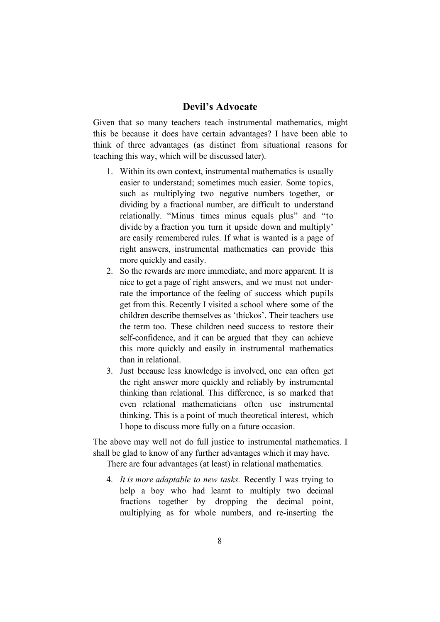# **Devil's Advocate**

Given that so many teachers teach instrumental mathematics, might this be because it does have certain advantages? I have been able to think of three advantages (as distinct from situational reasons for teaching this way, which will be discussed later).

- 1. Within its own context, instrumental mathematics is usually easier to understand; sometimes much easier. Some topics, such as multiplying two negative numbers together, or dividing by a fractional number, are difficult to understand relationally. "Minus times minus equals plus" and "to divide by a fraction you turn it upside down and multiply' are easily remembered rules. If what is wanted is a page of right answers, instrumental mathematics can provide this more quickly and easily.
- 2. So the rewards are more immediate, and more apparent. It is nice to get a page of right answers, and we must not underrate the importance of the feeling of success which pupils get from this. Recently I visited a school where some of the children describe themselves as 'thickos'. Their teachers use the term too. These children need success to restore their self-confidence, and it can be argued that they can achieve this more quickly and easily in instrumental mathematics than in relational.
- 3. Just because less knowledge is involved, one can often get the right answer more quickly and reliably by instrumental thinking than relational. This difference, is so marked that even relational mathematicians often use instrumental thinking. This is a point of much theoretical interest, which I hope to discuss more fully on a future occasion.

The above may well not do full justice to instrumental mathematics. I shall be glad to know of any further advantages which it may have.

There are four advantages (at least) in relational mathematics.

4. *It is more adaptable to new tasks.* Recently I was trying to help a boy who had learnt to multiply two decimal fractions together by dropping the decimal point, multiplying as for whole numbers, and re-inserting the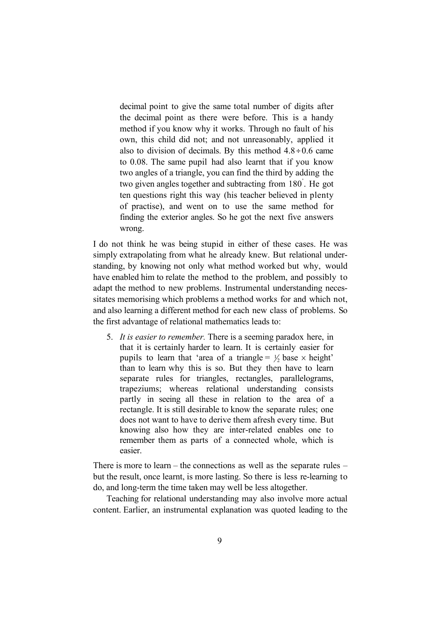decimal point to give the same total number of digits after the decimal point as there were before. This is a handy method if you know why it works. Through no fault of his own, this child did not; and not unreasonably, applied it also to division of decimals. By this method  $4.8 \div 0.6$  came to 0.08. The same pupil had also learnt that if you know two angles of a triangle, you can find the third by adding the two given angles together and subtracting from 180˚ . He got ten questions right this way (his teacher believed in plenty of practise), and went on to use the same method for finding the exterior angles. So he got the next five answers wrong.

I do not think he was being stupid in either of these cases. He was simply extrapolating from what he already knew. But relational understanding, by knowing not only what method worked but why, would have enabled him to relate the method to the problem, and possibly to adapt the method to new problems. Instrumental understanding necessitates memorising which problems a method works for and which not, and also learning a different method for each new class of problems. So the first advantage of relational mathematics leads to:

5. *It is easier to remember.* There is a seeming paradox here, in that it is certainly harder to learn. It is certainly easier for pupils to learn that 'area of a triangle =  $\frac{1}{2}$  base  $\times$  height' than to learn why this is so. But they then have to learn separate rules for triangles, rectangles, parallelograms, trapeziums; whereas relational understanding consists partly in seeing all these in relation to the area of a rectangle. It is still desirable to know the separate rules; one does not want to have to derive them afresh every time. But knowing also how they are inter-related enables one to remember them as parts of a connected whole, which is easier.

There is more to learn – the connections as well as the separate rules – but the result, once learnt, is more lasting. So there is less re-learning to do, and long-term the time taken may well be less altogether.

Teaching for relational understanding may also involve more actual content. Earlier, an instrumental explanation was quoted leading to the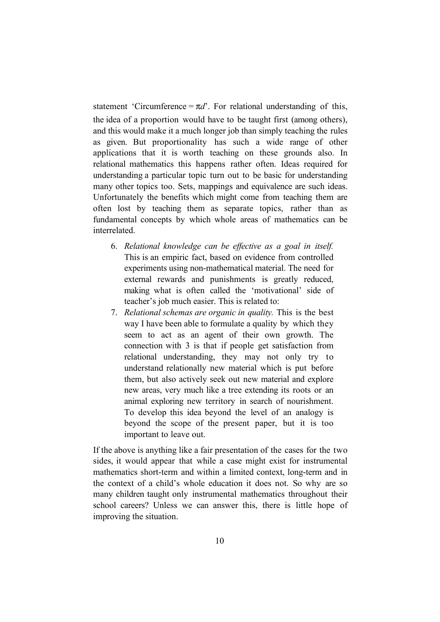statement 'Circumference  $= \pi d$ '. For relational understanding of this, the idea of a proportion would have to be taught first (among others), and this would make it a much longer job than simply teaching the rules as given. But proportionality has such a wide range of other applications that it is worth teaching on these grounds also. In relational mathematics this happens rather often. Ideas required for understanding a particular topic turn out to be basic for understanding many other topics too. Sets, mappings and equivalence are such ideas. Unfortunately the benefits which might come from teaching them are often lost by teaching them as separate topics, rather than as fundamental concepts by which whole areas of mathematics can be interrelated.

- 6. *Relational knowledge can be effective as a goal in itself.* This is an empiric fact, based on evidence from controlled experiments using non-mathematical material. The need for external rewards and punishments is greatly reduced, making what is often called the 'motivational' side of teacher's job much easier. This is related to:
- 7. *Relational schemas are organic in quality.* This is the best way I have been able to formulate a quality by which they seem to act as an agent of their own growth. The connection with 3 is that if people get satisfaction from relational understanding, they may not only try to understand relationally new material which is put before them, but also actively seek out new material and explore new areas, very much like a tree extending its roots or an animal exploring new territory in search of nourishment. To develop this idea beyond the level of an analogy is beyond the scope of the present paper, but it is too important to leave out.

If the above is anything like a fair presentation of the cases for the two sides, it would appear that while a case might exist for instrumental mathematics short-term and within a limited context, long-term and in the context of a child's whole education it does not. So why are so many children taught only instrumental mathematics throughout their school careers? Unless we can answer this, there is little hope of improving the situation.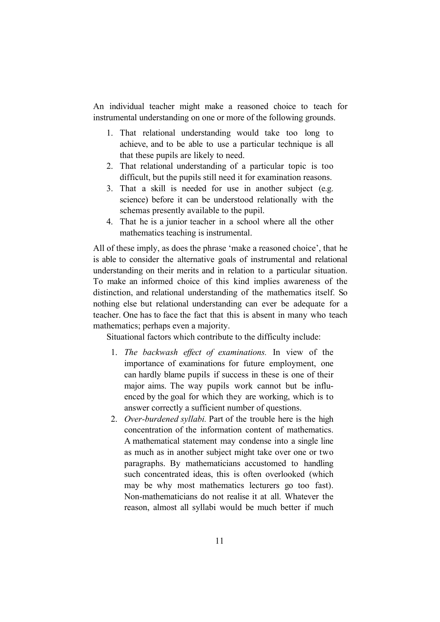An individual teacher might make a reasoned choice to teach for instrumental understanding on one or more of the following grounds.

- 1. That relational understanding would take too long to achieve, and to be able to use a particular technique is all that these pupils are likely to need.
- 2. That relational understanding of a particular topic is too difficult, but the pupils still need it for examination reasons.
- 3. That a skill is needed for use in another subject (e.g. science) before it can be understood relationally with the schemas presently available to the pupil.
- 4. That he is a junior teacher in a school where all the other mathematics teaching is instrumental.

All of these imply, as does the phrase 'make a reasoned choice', that he is able to consider the alternative goals of instrumental and relational understanding on their merits and in relation to a particular situation. To make an informed choice of this kind implies awareness of the distinction, and relational understanding of the mathematics itself. So nothing else but relational understanding can ever be adequate for a teacher. One has to face the fact that this is absent in many who teach mathematics; perhaps even a majority.

Situational factors which contribute to the difficulty include:

- 1. *The backwash effect of examinations.* In view of the importance of examinations for future employment, one can hardly blame pupils if success in these is one of their major aims. The way pupils work cannot but be influenced by the goal for which they are working, which is to answer correctly a sufficient number of questions.
- 2. *Over-burdened syllabi.* Part of the trouble here is the high concentration of the information content of mathematics. A mathematical statement may condense into a single line as much as in another subject might take over one or two paragraphs. By mathematicians accustomed to handling such concentrated ideas, this is often overlooked (which may be why most mathematics lecturers go too fast). Non-mathematicians do not realise it at all. Whatever the reason, almost all syllabi would be much better if much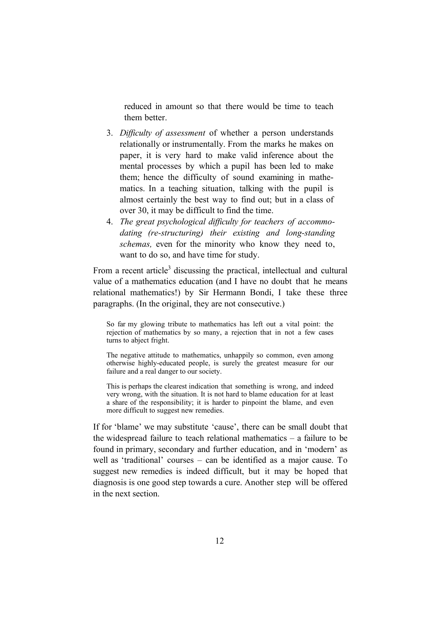reduced in amount so that there would be time to teach them better.

- 3. *Difficulty of assessment* of whether a person understands relationally or instrumentally. From the marks he makes on paper, it is very hard to make valid inference about the mental processes by which a pupil has been led to make them; hence the difficulty of sound examining in mathematics. In a teaching situation, talking with the pupil is almost certainly the best way to find out; but in a class of over 30, it may be difficult to find the time.
- 4. *The great psychological difficulty for teachers of accommodating (re-structuring) their existing and long-standing schemas,* even for the minority who know they need to, want to do so, and have time for study.

From a recent article<sup>3</sup> discussing the practical, intellectual and cultural value of a mathematics education (and I have no doubt that he means relational mathematics!) by Sir Hermann Bondi, I take these three paragraphs. (In the original, they are not consecutive.)

So far my glowing tribute to mathematics has left out a vital point: the rejection of mathematics by so many, a rejection that in not a few cases turns to abject fright.

The negative attitude to mathematics, unhappily so common, even among otherwise highly-educated people, is surely the greatest measure for our failure and a real danger to our society.

This is perhaps the clearest indication that something is wrong, and indeed very wrong, with the situation. It is not hard to blame education for at least a share of the responsibility; it is harder to pinpoint the blame, and even more difficult to suggest new remedies.

If for 'blame' we may substitute 'cause', there can be small doubt that the widespread failure to teach relational mathematics – a failure to be found in primary, secondary and further education, and in 'modern' as well as 'traditional' courses – can be identified as a major cause. To suggest new remedies is indeed difficult, but it may be hoped that diagnosis is one good step towards a cure. Another step will be offered in the next section.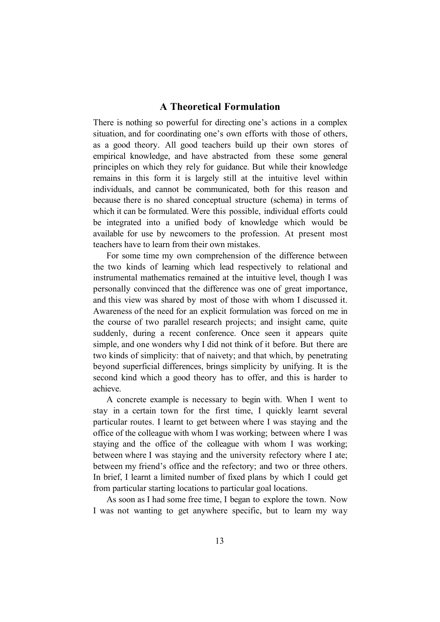## **A Theoretical Formulation**

There is nothing so powerful for directing one's actions in a complex situation, and for coordinating one's own efforts with those of others, as a good theory. All good teachers build up their own stores of empirical knowledge, and have abstracted from these some general principles on which they rely for guidance. But while their knowledge remains in this form it is largely still at the intuitive level within individuals, and cannot be communicated, both for this reason and because there is no shared conceptual structure (schema) in terms of which it can be formulated. Were this possible, individual efforts could be integrated into a unified body of knowledge which would be available for use by newcomers to the profession. At present most teachers have to learn from their own mistakes.

For some time my own comprehension of the difference between the two kinds of learning which lead respectively to relational and instrumental mathematics remained at the intuitive level, though I was personally convinced that the difference was one of great importance, and this view was shared by most of those with whom I discussed it. Awareness of the need for an explicit formulation was forced on me in the course of two parallel research projects; and insight came, quite suddenly, during a recent conference. Once seen it appears quite simple, and one wonders why I did not think of it before. But there are two kinds of simplicity: that of naivety; and that which, by penetrating beyond superficial differences, brings simplicity by unifying. It is the second kind which a good theory has to offer, and this is harder to achieve.

A concrete example is necessary to begin with. When I went to stay in a certain town for the first time, I quickly learnt several particular routes. I learnt to get between where I was staying and the office of the colleague with whom I was working; between where I was staying and the office of the colleague with whom I was working; between where I was staying and the university refectory where I ate; between my friend's office and the refectory; and two or three others. In brief, I learnt a limited number of fixed plans by which I could get from particular starting locations to particular goal locations.

As soon as I had some free time, I began to explore the town. Now I was not wanting to get anywhere specific, but to learn my way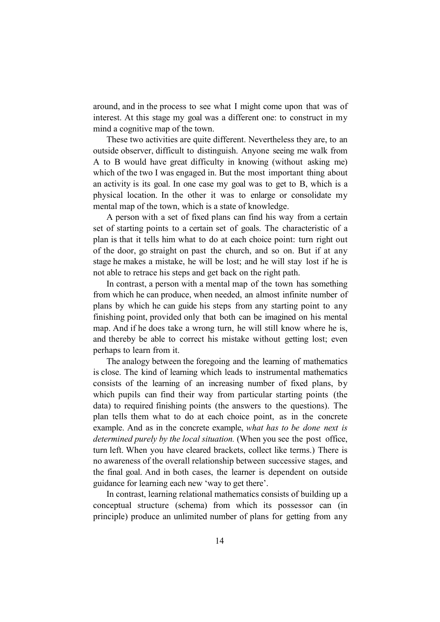around, and in the process to see what I might come upon that was of interest. At this stage my goal was a different one: to construct in my mind a cognitive map of the town.

These two activities are quite different. Nevertheless they are, to an outside observer, difficult to distinguish. Anyone seeing me walk from A to B would have great difficulty in knowing (without asking me) which of the two I was engaged in. But the most important thing about an activity is its goal. In one case my goal was to get to B, which is a physical location. In the other it was to enlarge or consolidate my mental map of the town, which is a state of knowledge.

A person with a set of fixed plans can find his way from a certain set of starting points to a certain set of goals. The characteristic of a plan is that it tells him what to do at each choice point: turn right out of the door, go straight on past the church, and so on. But if at any stage he makes a mistake, he will be lost; and he will stay lost if he is not able to retrace his steps and get back on the right path.

In contrast, a person with a mental map of the town has something from which he can produce, when needed, an almost infinite number of plans by which he can guide his steps from any starting point to any finishing point, provided only that both can be imagined on his mental map. And if he does take a wrong turn, he will still know where he is, and thereby be able to correct his mistake without getting lost; even perhaps to learn from it.

The analogy between the foregoing and the learning of mathematics is close. The kind of learning which leads to instrumental mathematics consists of the learning of an increasing number of fixed plans, by which pupils can find their way from particular starting points (the data) to required finishing points (the answers to the questions). The plan tells them what to do at each choice point, as in the concrete example. And as in the concrete example, *what has to be done next is determined purely by the local situation.* (When you see the post office, turn left. When you have cleared brackets, collect like terms.) There is no awareness of the overall relationship between successive stages, and the final goal. And in both cases, the learner is dependent on outside guidance for learning each new 'way to get there'.

In contrast, learning relational mathematics consists of building up a conceptual structure (schema) from which its possessor can (in principle) produce an unlimited number of plans for getting from any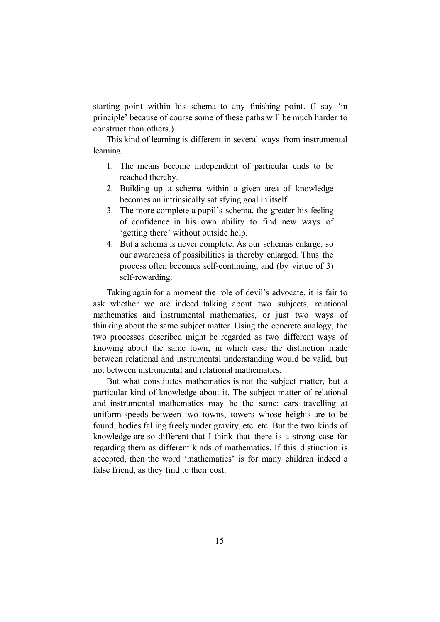starting point within his schema to any finishing point. (I say 'in principle' because of course some of these paths will be much harder to construct than others.)

This kind of learning is different in several ways from instrumental learning.

- 1. The means become independent of particular ends to be reached thereby.
- 2. Building up a schema within a given area of knowledge becomes an intrinsically satisfying goal in itself.
- 3. The more complete a pupil's schema, the greater his feeling of confidence in his own ability to find new ways of 'getting there' without outside help.
- 4. But a schema is never complete. As our schemas enlarge, so our awareness of possibilities is thereby enlarged. Thus the process often becomes self-continuing, and (by virtue of 3) self-rewarding.

Taking again for a moment the role of devil's advocate, it is fair to ask whether we are indeed talking about two subjects, relational mathematics and instrumental mathematics, or just two ways of thinking about the same subject matter. Using the concrete analogy, the two processes described might be regarded as two different ways of knowing about the same town; in which case the distinction made between relational and instrumental understanding would be valid, but not between instrumental and relational mathematics.

But what constitutes mathematics is not the subject matter, but a particular kind of knowledge about it. The subject matter of relational and instrumental mathematics may be the same: cars travelling at uniform speeds between two towns, towers whose heights are to be found, bodies falling freely under gravity, etc. etc. But the two kinds of knowledge are so different that I think that there is a strong case for regarding them as different kinds of mathematics. If this distinction is accepted, then the word 'mathematics' is for many children indeed a false friend, as they find to their cost.